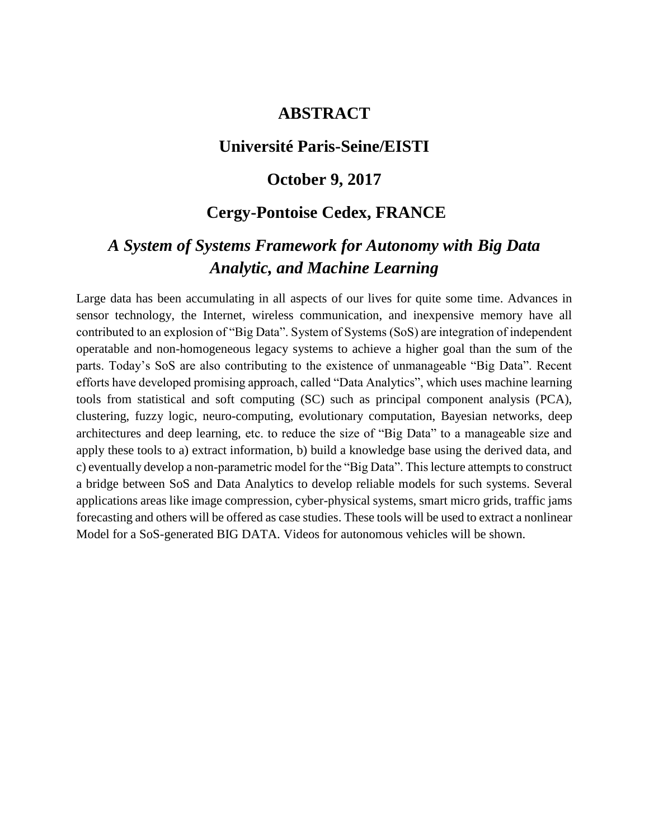## **ABSTRACT**

### **Université Paris-Seine/EISTI**

#### **October 9, 2017**

# **Cergy-Pontoise Cedex, FRANCE**

# *A System of Systems Framework for Autonomy with Big Data Analytic, and Machine Learning*

Large data has been accumulating in all aspects of our lives for quite some time. Advances in sensor technology, the Internet, wireless communication, and inexpensive memory have all contributed to an explosion of "Big Data". System of Systems (SoS) are integration of independent operatable and non-homogeneous legacy systems to achieve a higher goal than the sum of the parts. Today's SoS are also contributing to the existence of unmanageable "Big Data". Recent efforts have developed promising approach, called "Data Analytics", which uses machine learning tools from statistical and soft computing (SC) such as principal component analysis (PCA), clustering, fuzzy logic, neuro-computing, evolutionary computation, Bayesian networks, deep architectures and deep learning, etc. to reduce the size of "Big Data" to a manageable size and apply these tools to a) extract information, b) build a knowledge base using the derived data, and c) eventually develop a non-parametric model for the "Big Data". This lecture attempts to construct a bridge between SoS and Data Analytics to develop reliable models for such systems. Several applications areas like image compression, cyber-physical systems, smart micro grids, traffic jams forecasting and others will be offered as case studies. These tools will be used to extract a nonlinear Model for a SoS-generated BIG DATA. Videos for autonomous vehicles will be shown.